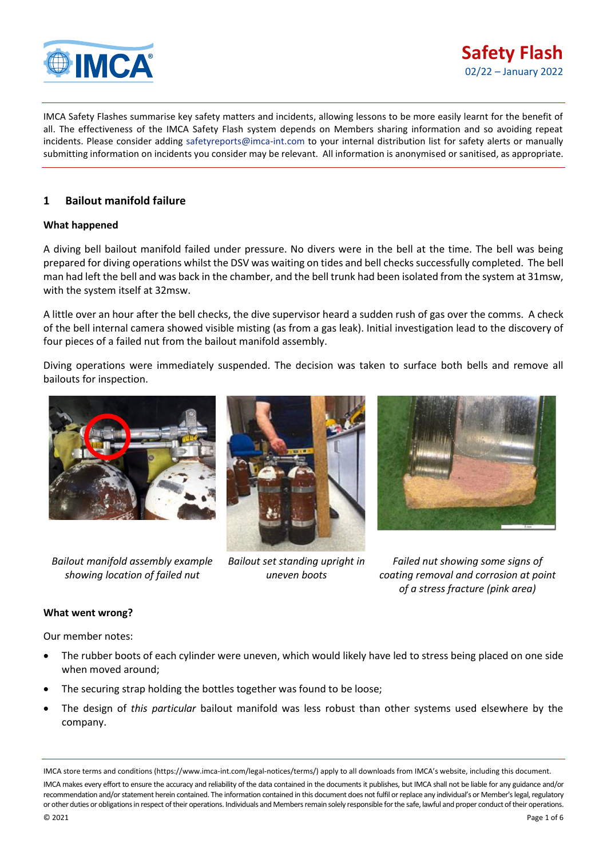

IMCA Safety Flashes summarise key safety matters and incidents, allowing lessons to be more easily learnt for the benefit of all. The effectiveness of the IMCA Safety Flash system depends on Members sharing information and so avoiding repeat incidents. Please consider adding [safetyreports@imca-int.com](mailto:safetyreports@imca-int.com) to your internal distribution list for safety alerts or manually submitting information on incidents you consider may be relevant. All information is anonymised or sanitised, as appropriate.

# **1 Bailout manifold failure**

## **What happened**

A diving bell bailout manifold failed under pressure. No divers were in the bell at the time. The bell was being prepared for diving operations whilst the DSV was waiting on tides and bell checks successfully completed. The bell man had left the bell and was back in the chamber, and the bell trunk had been isolated from the system at 31msw, with the system itself at 32msw.

A little over an hour after the bell checks, the dive supervisor heard a sudden rush of gas over the comms. A check of the bell internal camera showed visible misting (as from a gas leak). Initial investigation lead to the discovery of four pieces of a failed nut from the bailout manifold assembly.

Diving operations were immediately suspended. The decision was taken to surface both bells and remove all bailouts for inspection.



*Bailout manifold assembly example showing location of failed nut*



*Bailout set standing upright in uneven boots*



*Failed nut showing some signs of coating removal and corrosion at point of a stress fracture (pink area)*

#### **What went wrong?**

Our member notes:

- The rubber boots of each cylinder were uneven, which would likely have led to stress being placed on one side when moved around;
- The securing strap holding the bottles together was found to be loose;
- The design of *this particular* bailout manifold was less robust than other systems used elsewhere by the company.

IMCA store terms and conditions (https://www.imca-int.com/legal-notices/terms/) apply to all downloads from IMCA's website, including this document. IMCA makes every effort to ensure the accuracy and reliability of the data contained in the documents it publishes, but IMCA shall not be liable for any guidance and/or recommendation and/or statement herein contained. The information contained in this document does not fulfil or replace any individual's or Member's legal, regulatory or other duties or obligations in respect of their operations. Individuals and Members remain solely responsible for the safe, lawful and proper conduct of their operations.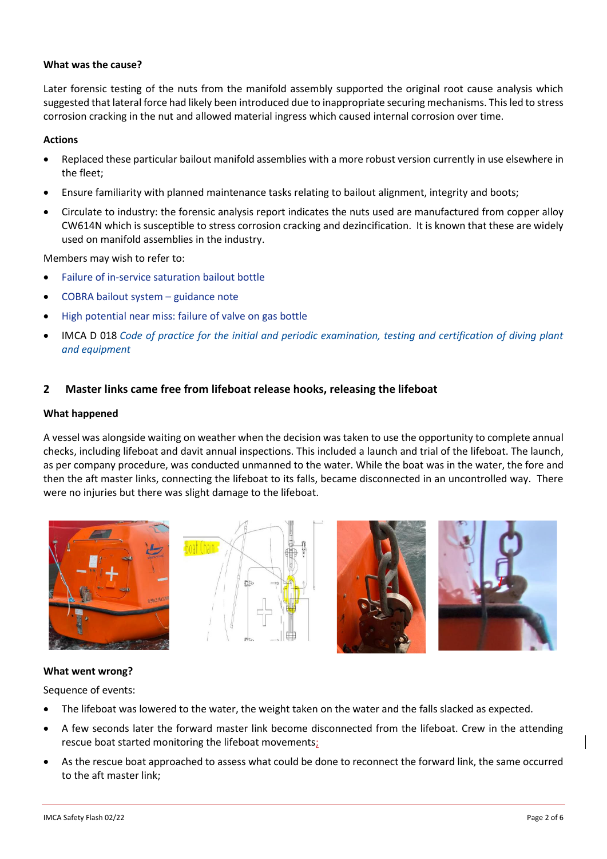### **What was the cause?**

Later forensic testing of the nuts from the manifold assembly supported the original root cause analysis which suggested that lateral force had likely been introduced due to inappropriate securing mechanisms. This led to stress corrosion cracking in the nut and allowed material ingress which caused internal corrosion over time.

### **Actions**

- Replaced these particular bailout manifold assemblies with a more robust version currently in use elsewhere in the fleet;
- Ensure familiarity with planned maintenance tasks relating to bailout alignment, integrity and boots;
- Circulate to industry: the forensic analysis report indicates the nuts used are manufactured from copper alloy CW614N which is susceptible to stress corrosion cracking and dezincification. It is known that these are widely used on manifold assemblies in the industry.

Members may wish to refer to:

- [Failure of in-service saturation bailout bottle](https://www.imca-int.com/safety-events/failure-of-in-service-saturation-bailout-bottle/)
- [COBRA bailout system](https://www.imca-int.com/safety-events/cobra-bailout-system-guidance-note/)  guidance note
- [High potential near miss: failure of valve on gas bottle](https://www.imca-int.com/safety-events/high-potential-near-miss-failure-valve-gas-bottle/)
- IMCA D 018 *[Code of practice for the initial and periodic examination, testing and certification of diving plant](https://www.imca-int.com/product/code-of-practice-for-the-initial-and-periodic-examination-testing-and-certification-of-diving-plant-and-equipment/)  [and equipment](https://www.imca-int.com/product/code-of-practice-for-the-initial-and-periodic-examination-testing-and-certification-of-diving-plant-and-equipment/)*

# **2 Master links came free from lifeboat release hooks, releasing the lifeboat**

#### **What happened**

A vessel was alongside waiting on weather when the decision was taken to use the opportunity to complete annual checks, including lifeboat and davit annual inspections. This included a launch and trial of the lifeboat. The launch, as per company procedure, was conducted unmanned to the water. While the boat was in the water, the fore and then the aft master links, connecting the lifeboat to its falls, became disconnected in an uncontrolled way. There were no injuries but there was slight damage to the lifeboat.









#### **What went wrong?**

Sequence of events:

- The lifeboat was lowered to the water, the weight taken on the water and the falls slacked as expected.
- A few seconds later the forward master link become disconnected from the lifeboat. Crew in the attending rescue boat started monitoring the lifeboat movements;
- As the rescue boat approached to assess what could be done to reconnect the forward link, the same occurred to the aft master link;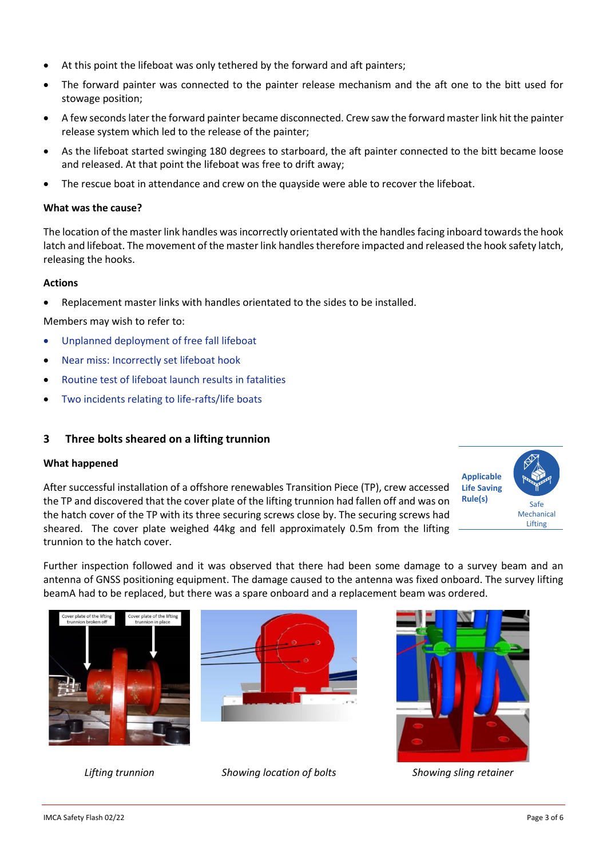- At this point the lifeboat was only tethered by the forward and aft painters;
- The forward painter was connected to the painter release mechanism and the aft one to the bitt used for stowage position;
- A few seconds later the forward painter became disconnected. Crew saw the forward master link hit the painter release system which led to the release of the painter;
- As the lifeboat started swinging 180 degrees to starboard, the aft painter connected to the bitt became loose and released. At that point the lifeboat was free to drift away;
- The rescue boat in attendance and crew on the quayside were able to recover the lifeboat.

### **What was the cause?**

The location of the master link handles was incorrectly orientated with the handles facing inboard towards the hook latch and lifeboat. The movement of the master link handles therefore impacted and released the hook safety latch, releasing the hooks.

## **Actions**

• Replacement master links with handles orientated to the sides to be installed.

Members may wish to refer to:

- [Unplanned deployment of free fall lifeboat](https://www.imca-int.com/safety-events/unplanned-deployment-of-free-fall-lifeboat/)
- [Near miss: Incorrectly set lifeboat hook](https://www.imca-int.com/safety-events/near-miss-incorrectly-set-lifeboat-hook/)
- [Routine test of lifeboat launch results in fatalities](https://www.imca-int.com/safety-events/routine-test-of-lifeboat-launch-results-in-fatalities/)
- [Two incidents relating to life-rafts/life boats](https://www.imca-int.com/safety-events/two-incidents-relating-to-life-rafts-life-boats/)

# **3 Three bolts sheared on a lifting trunnion**

#### **What happened**

After successful installation of a offshore renewables Transition Piece (TP), crew accessed the TP and discovered that the cover plate of the lifting trunnion had fallen off and was on the hatch cover of the TP with its three securing screws close by. The securing screws had sheared. The cover plate weighed 44kg and fell approximately 0.5m from the lifting trunnion to the hatch cover.



Further inspection followed and it was observed that there had been some damage to a survey beam and an antenna of GNSS positioning equipment. The damage caused to the antenna was fixed onboard. The survey lifting beamA had to be replaced, but there was a spare onboard and a replacement beam was ordered.







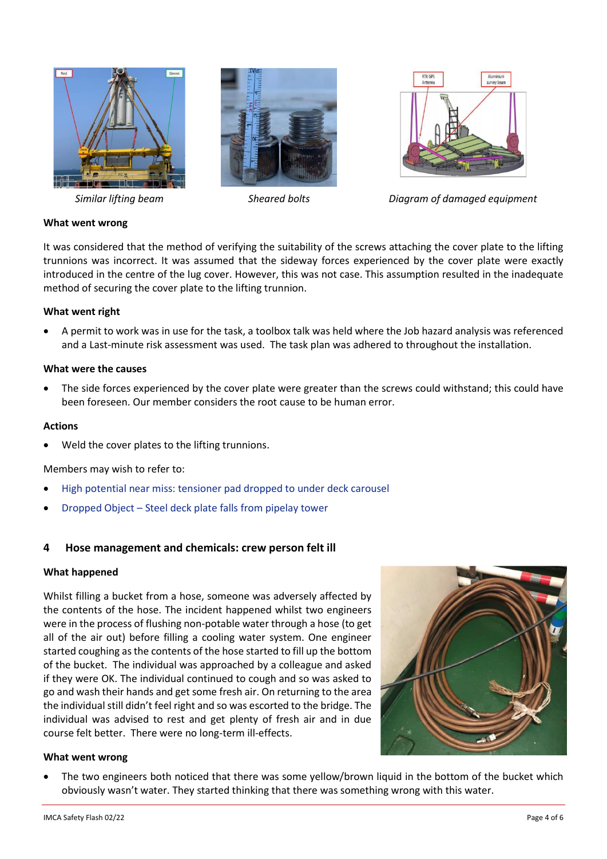





*Similar lifting beam Sheared bolts Diagram of damaged equipment*

# **What went wrong**

It was considered that the method of verifying the suitability of the screws attaching the cover plate to the lifting trunnions was incorrect. It was assumed that the sideway forces experienced by the cover plate were exactly introduced in the centre of the lug cover. However, this was not case. This assumption resulted in the inadequate method of securing the cover plate to the lifting trunnion.

#### **What went right**

• A permit to work was in use for the task, a toolbox talk was held where the Job hazard analysis was referenced and a Last-minute risk assessment was used. The task plan was adhered to throughout the installation.

#### **What were the causes**

The side forces experienced by the cover plate were greater than the screws could withstand; this could have been foreseen. Our member considers the root cause to be human error.

#### **Actions**

Weld the cover plates to the lifting trunnions.

#### Members may wish to refer to:

- [High potential near miss: tensioner pad dropped to under deck carousel](https://www.imca-int.com/safety-events/high-potential-near-miss-tensioner-pad-dropped-to-under-deck-carousel/)
- Dropped Object [Steel deck plate falls from pipelay tower](https://www.imca-int.com/safety-events/dropped-object-steel-deck-plate-falls-from-pipelay-tower/)

# **4 Hose management and chemicals: crew person felt ill**

#### **What happened**

Whilst filling a bucket from a hose, someone was adversely affected by the contents of the hose. The incident happened whilst two engineers were in the process of flushing non-potable water through a hose (to get all of the air out) before filling a cooling water system. One engineer started coughing as the contents of the hose started to fill up the bottom of the bucket. The individual was approached by a colleague and asked if they were OK. The individual continued to cough and so was asked to go and wash their hands and get some fresh air. On returning to the area the individual still didn't feel right and so was escorted to the bridge. The individual was advised to rest and get plenty of fresh air and in due course felt better. There were no long-term ill-effects.



# **What went wrong**

The two engineers both noticed that there was some yellow/brown liquid in the bottom of the bucket which obviously wasn't water. They started thinking that there was something wrong with this water.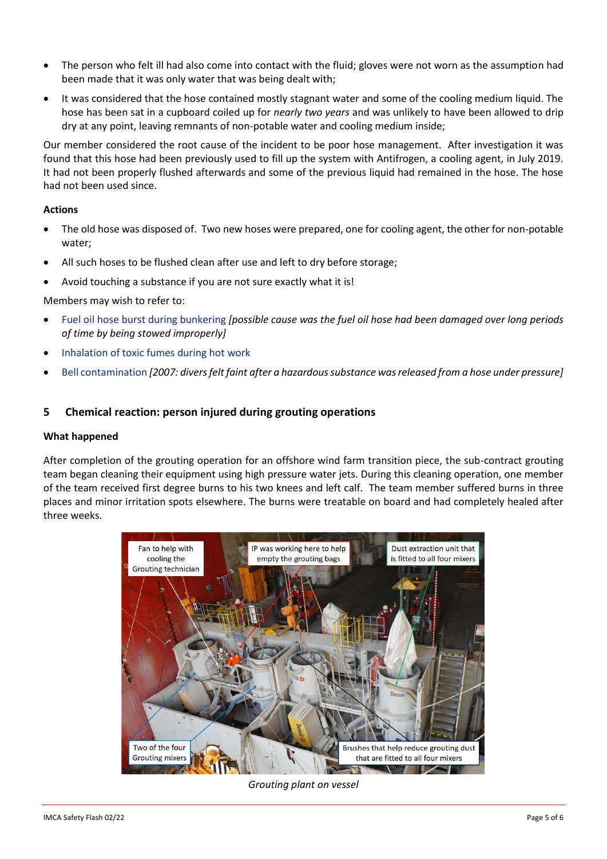- The person who felt ill had also come into contact with the fluid; gloves were not worn as the assumption had been made that it was only water that was being dealt with;
- It was considered that the hose contained mostly stagnant water and some of the cooling medium liquid. The hose has been sat in a cupboard coiled up for *nearly two years* and was unlikely to have been allowed to drip dry at any point, leaving remnants of non-potable water and cooling medium inside;

Our member considered the root cause of the incident to be poor hose management. After investigation it was found that this hose had been previously used to fill up the system with Antifrogen, a cooling agent, in July 2019. It had not been properly flushed afterwards and some of the previous liquid had remained in the hose. The hose had not been used since.

## **Actions**

- The old hose was disposed of. Two new hoses were prepared, one for cooling agent, the other for non-potable water;
- All such hoses to be flushed clean after use and left to dry before storage;
- Avoid touching a substance if you are not sure exactly what it is!

## Members may wish to refer to:

- [Fuel oil hose burst during bunkering](https://www.imca-int.com/safety-events/fuel-oil-hose-burst-during-bunkering/) *[possible cause was the fuel oil hose had been damaged over long periods of time by being stowed improperly]*
- [Inhalation of toxic fumes during hot work](https://www.imca-int.com/safety-events/inhalation-of-toxic-fumes-during-hot-work/)
- [Bell contamination](https://www.imca-int.com/safety-events/bell-contamination/) *[2007: divers felt faint after a hazardous substance was released from a hose under pressure]*

# **5 Chemical reaction: person injured during grouting operations**

#### **What happened**

After completion of the grouting operation for an offshore wind farm transition piece, the sub-contract grouting team began cleaning their equipment using high pressure water jets. During this cleaning operation, one member of the team received first degree burns to his two knees and left calf. The team member suffered burns in three places and minor irritation spots elsewhere. The burns were treatable on board and had completely healed after three weeks.



*Grouting plant on vessel*